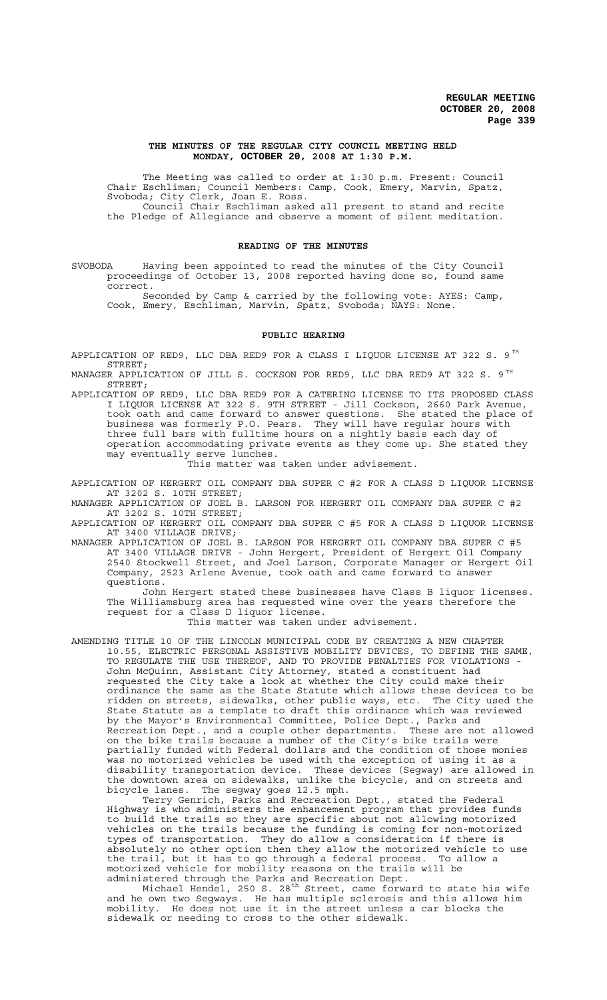#### **THE MINUTES OF THE REGULAR CITY COUNCIL MEETING HELD MONDAY, OCTOBER 20, 2008 AT 1:30 P.M.**

The Meeting was called to order at 1:30 p.m. Present: Council Chair Eschliman; Council Members: Camp, Cook, Emery, Marvin, Spatz, Svoboda; City Clerk, Joan E. Ross. Council Chair Eschliman asked all present to stand and recite the Pledge of Allegiance and observe a moment of silent meditation.

### **READING OF THE MINUTES**

SVOBODA Having been appointed to read the minutes of the City Council proceedings of October 13, 2008 reported having done so, found same correct.

Seconded by Camp & carried by the following vote: AYES: Camp, Cook, Emery, Eschliman, Marvin, Spatz, Svoboda; NAYS: None.

#### **PUBLIC HEARING**

APPLICATION OF RED9, LLC DBA RED9 FOR A CLASS I LIQUOR LICENSE AT 322 S. 9 $^{TH}$ STREET;

MANAGER APPLICATION OF JILL S. COCKSON FOR RED9, LLC DBA RED9 AT 322 S. 9 $^{TH}$ STREET;

APPLICATION OF RED9, LLC DBA RED9 FOR A CATERING LICENSE TO ITS PROPOSED CLASS I LIQUOR LICENSE AT 322 S. 9TH STREET - Jill Cockson, 2660 Park Avenue, took oath and came forward to answer questions. She stated the place of business was formerly P.O. Pears. They will have regular hours with three full bars with fulltime hours on a nightly basis each day of operation accommodating private events as they come up. She stated they may eventually serve lunches.

This matter was taken under advisement.

APPLICATION OF HERGERT OIL COMPANY DBA SUPER C #2 FOR A CLASS D LIQUOR LICENSE AT 3202 S. 10TH STREET;

MANAGER APPLICATION OF JOEL B. LARSON FOR HERGERT OIL COMPANY DBA SUPER C #2 AT 3202 S. 10TH STREET;

APPLICATION OF HERGERT OIL COMPANY DBA SUPER C #5 FOR A CLASS D LIQUOR LICENSE AT 3400 VILLAGE DRIVE;

MANAGER APPLICATION OF JOEL B. LARSON FOR HERGERT OIL COMPANY DBA SUPER C #5 AT 3400 VILLAGE DRIVE - John Hergert, President of Hergert Oil Company 2540 Stockwell Street, and Joel Larson, Corporate Manager or Hergert Oil Company, 2523 Arlene Avenue, took oath and came forward to answer questions.

John Hergert stated these businesses have Class B liquor licenses. The Williamsburg area has requested wine over the years therefore the request for a Class D liquor license.

This matter was taken under advisement.

AMENDING TITLE 10 OF THE LINCOLN MUNICIPAL CODE BY CREATING A NEW CHAPTER 10.55, ELECTRIC PERSONAL ASSISTIVE MOBILITY DEVICES, TO DEFINE THE SAME, TO REGULATE THE USE THEREOF, AND TO PROVIDE PENALTIES FOR VIOLATIONS - John McQuinn, Assistant City Attorney, stated a constituent had requested the City take a look at whether the City could make their ordinance the same as the State Statute which allows these devices to be ridden on streets, sidewalks, other public ways, etc. The City used the State Statute as a template to draft this ordinance which was reviewed by the Mayor's Environmental Committee, Police Dept., Parks and Recreation Dept., and a couple other departments. These are not allowed on the bike trails because a number of the City's bike trails were partially funded with Federal dollars and the condition of those monies was no motorized vehicles be used with the exception of using it as a disability transportation device. These devices (Segway) are allowed in the downtown area on sidewalks, unlike the bicycle, and on streets and bicycle lanes. The segway goes 12.5 mph.

Terry Genrich, Parks and Recreation Dept., stated the Federal Highway is who administers the enhancement program that provides funds to build the trails so they are specific about not allowing motorized vehicles on the trails because the funding is coming for non-motorized types of transportation. They do allow a consideration if there is absolutely no other option then they allow the motorized vehicle to use the trail, but it has to go through a federal process. To allow a motorized vehicle for mobility reasons on the trails will be administered through the Parks and Recreation Dept.

Michael Hendel, 250 S. 28<sup>th</sup> Street, came forward to state his wife and he own two Segways. He has multiple sclerosis and this allows him mobility. He does not use it in the street unless a car blocks the sidewalk or needing to cross to the other sidewalk.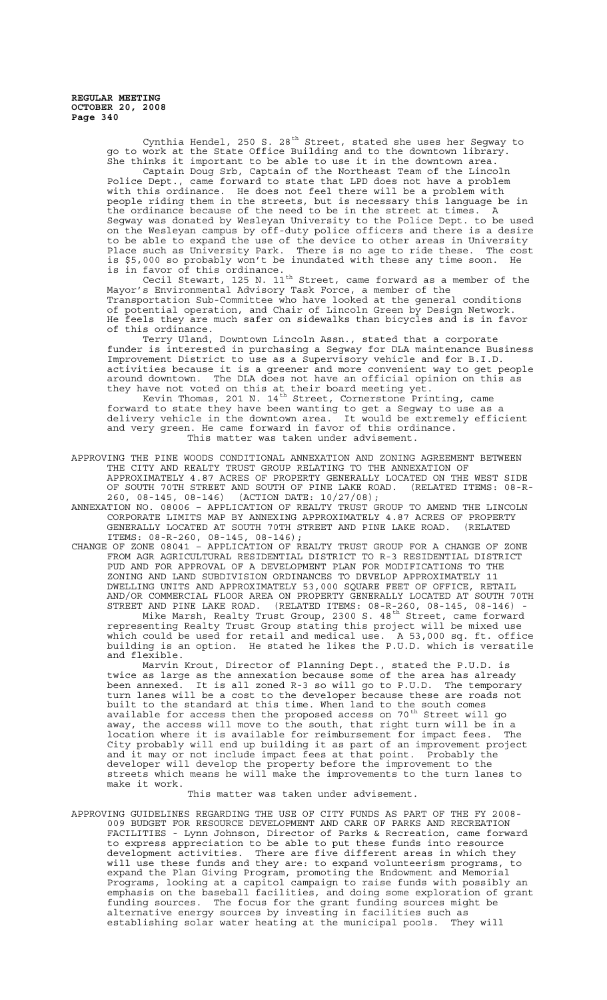> Cynthia Hendel, 250 S. 28<sup>th</sup> Street, stated she uses her Segway to go to work at the State Office Building and to the downtown library. She thinks it important to be able to use it in the downtown area. Captain Doug Srb, Captain of the Northeast Team of the Lincoln Police Dept., came forward to state that LPD does not have a problem with this ordinance. He does not feel there will be a problem with people riding them in the streets, but is necessary this language be in the ordinance because of the need to be in the street at times. A Segway was donated by Wesleyan University to the Police Dept. to be used on the Wesleyan campus by off-duty police officers and there is a desire to be able to expand the use of the device to other areas in University Place such as University Park. There is no age to ride these. The cost is \$5,000 so probably won't be inundated with these any time soon. He is in favor of this ordinance.

Tavor of this ordinance:<br>Cecil Stewart, 125 N. 11<sup>th</sup> Street, came forward as a member of the Mayor's Environmental Advisory Task Force, a member of the Transportation Sub-Committee who have looked at the general conditions of potential operation, and Chair of Lincoln Green by Design Network. He feels they are much safer on sidewalks than bicycles and is in favor of this ordinance.

Terry Uland, Downtown Lincoln Assn., stated that a corporate funder is interested in purchasing a Segway for DLA maintenance Business Improvement District to use as a Supervisory vehicle and for B.I.D. activities because it is a greener and more convenient way to get people around downtown. The DLA does not have an official opinion on this as they have not voted on this at their board meeting yet.

Kevin Thomas, 201 N. 14<sup>th</sup> Street, Cornerstone Printing, came forward to state they have been wanting to get a Segway to use as a delivery vehicle in the downtown area. It would be extremely efficient and very green. He came forward in favor of this ordinance. This matter was taken under advisement.

- APPROVING THE PINE WOODS CONDITIONAL ANNEXATION AND ZONING AGREEMENT BETWEEN THE CITY AND REALTY TRUST GROUP RELATING TO THE ANNEXATION OF APPROXIMATELY 4.87 ACRES OF PROPERTY GENERALLY LOCATED ON THE WEST SIDE OF SOUTH 70TH STREET AND SOUTH OF PINE LAKE ROAD. (RELATED ITEMS: 08-R-260, 08-145, 08-146) (ACTION DATE: 10/27/08);
- ANNEXATION NO. 08006 APPLICATION OF REALTY TRUST GROUP TO AMEND THE LINCOLN CORPORATE LIMITS MAP BY ANNEXING APPROXIMATELY 4.87 ACRES OF PROPERTY GENERALLY LOCATED AT SOUTH 70TH STREET AND PINE LAKE ROAD. ITEMS: 08-R-260, 08-145, 08-146);
- CHANGE OF ZONE 08041 APPLICATION OF REALTY TRUST GROUP FOR A CHANGE OF ZONE FROM AGR AGRICULTURAL RESIDENTIAL DISTRICT TO R-3 RESIDENTIAL DISTRICT PUD AND FOR APPROVAL OF A DEVELOPMENT PLAN FOR MODIFICATIONS TO THE ZONING AND LAND SUBDIVISION ORDINANCES TO DEVELOP APPROXIMATELY 11 DWELLING UNITS AND APPROXIMATELY 53,000 SQUARE FEET OF OFFICE, RETAIL AND/OR COMMERCIAL FLOOR AREA ON PROPERTY GENERALLY LOCATED AT SOUTH 70TH STREET AND PINE LAKE ROAD. (RELATED ITEMS: 08-R-260, 08-145, 08-146) - Mike Marsh, Realty Trust Group, 2300 S. 48<sup>th</sup> Street, came forward representing Realty Trust Group stating this project will be mixed use which could be used for retail and medical use. A 53,000 sq. ft. office building is an option. He stated he likes the P.U.D. which is versatile and flexible.

Marvin Krout, Director of Planning Dept., stated the P.U.D. is twice as large as the annexation because some of the area has already been annexed. It is all zoned R-3 so will go to P.U.D. The temporary turn lanes will be a cost to the developer because these are roads not built to the standard at this time. When land to the south comes<br>surilable for exacts than the prepared exacts on 70<sup>th</sup> Chuest will available for access then the proposed access on 70 $^{\rm th}$  Street will go away, the access will move to the south, that right turn will be in a location where it is available for reimbursement for impact fees. The City probably will end up building it as part of an improvement project and it may or not include impact fees at that point. Probably the developer will develop the property before the improvement to the streets which means he will make the improvements to the turn lanes to make it work.

This matter was taken under advisement.

APPROVING GUIDELINES REGARDING THE USE OF CITY FUNDS AS PART OF THE FY 2008- 009 BUDGET FOR RESOURCE DEVELOPMENT AND CARE OF PARKS AND RECREATION FACILITIES - Lynn Johnson, Director of Parks & Recreation, came forward to express appreciation to be able to put these funds into resource<br>development activities. There are five different areas in which th There are five different areas in which they will use these funds and they are: to expand volunteerism programs, to expand the Plan Giving Program, promoting the Endowment and Memorial Programs, looking at a capitol campaign to raise funds with possibly an emphasis on the baseball facilities, and doing some exploration of grant funding sources. The focus for the grant funding sources might be alternative energy sources by investing in facilities such as establishing solar water heating at the municipal pools. They will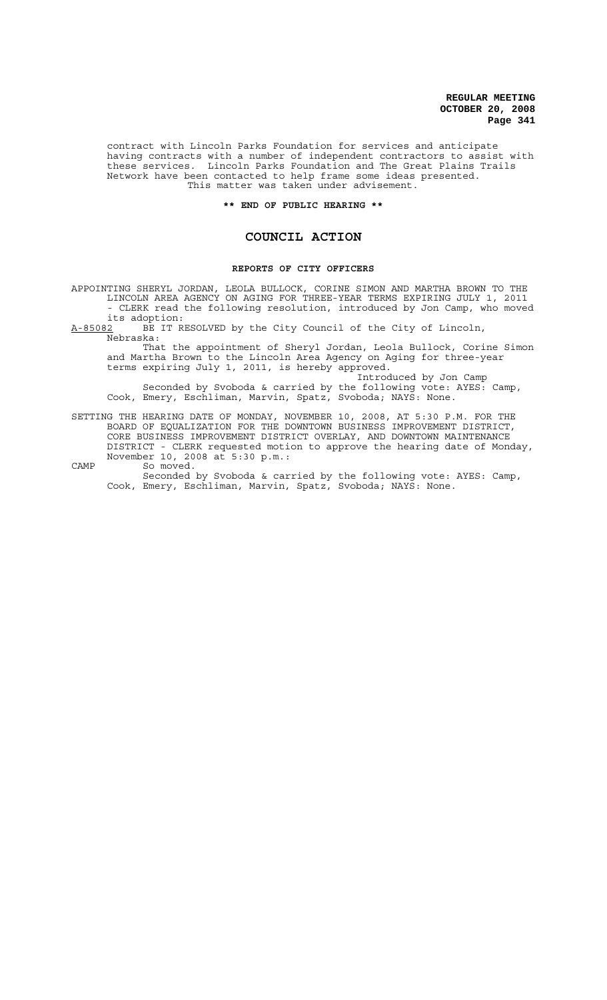contract with Lincoln Parks Foundation for services and anticipate having contracts with a number of independent contractors to assist with these services. Lincoln Parks Foundation and The Great Plains Trails Network have been contacted to help frame some ideas presented. This matter was taken under advisement.

## **\*\* END OF PUBLIC HEARING \*\***

# **COUNCIL ACTION**

#### **REPORTS OF CITY OFFICERS**

APPOINTING SHERYL JORDAN, LEOLA BULLOCK, CORINE SIMON AND MARTHA BROWN TO THE LINCOLN AREA AGENCY ON AGING FOR THREE-YEAR TERMS EXPIRING JULY 1, 2011 - CLERK read the following resolution, introduced by Jon Camp, who moved

its adoption:<br><u>A-85082</u> BE IT R BE IT RESOLVED by the City Council of the City of Lincoln, Nebraska:

That the appointment of Sheryl Jordan, Leola Bullock, Corine Simon and Martha Brown to the Lincoln Area Agency on Aging for three-year terms expiring July 1, 2011, is hereby approved.

Introduced by Jon Camp Seconded by Svoboda & carried by the following vote: AYES: Camp, Cook, Emery, Eschliman, Marvin, Spatz, Svoboda; NAYS: None.

SETTING THE HEARING DATE OF MONDAY, NOVEMBER 10, 2008, AT 5:30 P.M. FOR THE BOARD OF EQUALIZATION FOR THE DOWNTOWN BUSINESS IMPROVEMENT DISTRICT, CORE BUSINESS IMPROVEMENT DISTRICT OVERLAY, AND DOWNTOWN MAINTENANCE DISTRICT - CLERK requested motion to approve the hearing date of Monday, November 10, 2008 at 5:30 p.m.: CAMP So moved.

Seconded by Svoboda & carried by the following vote: AYES: Camp, Cook, Emery, Eschliman, Marvin, Spatz, Svoboda; NAYS: None.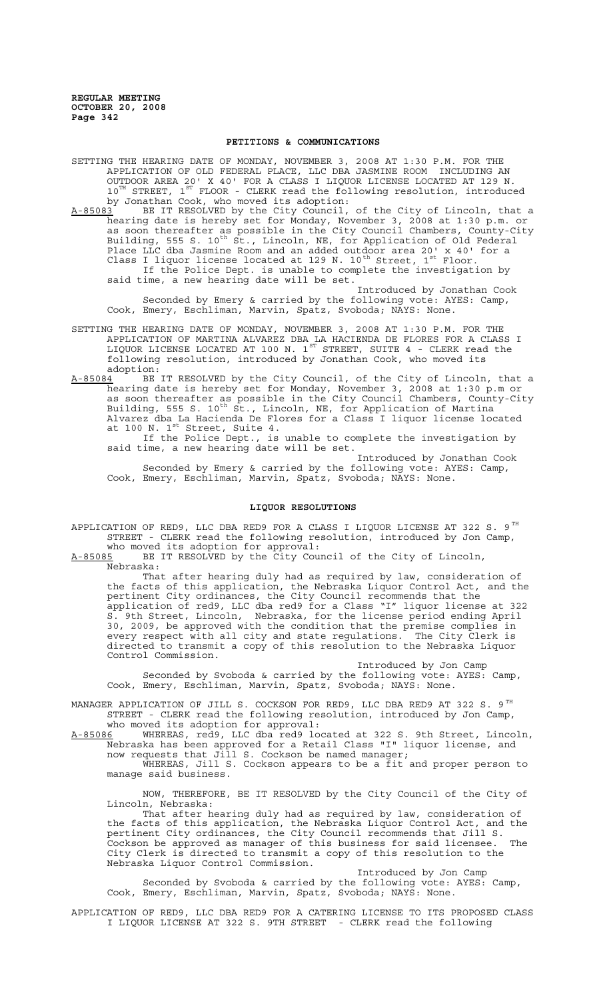#### **PETITIONS & COMMUNICATIONS**

SETTING THE HEARING DATE OF MONDAY, NOVEMBER 3, 2008 AT 1:30 P.M. FOR THE APPLICATION OF OLD FEDERAL PLACE, LLC DBA JASMINE ROOM INCLUDING AN OUTDOOR AREA 20' X 40' FOR A CLASS I LIQUOR LICENSE LOCATED AT 129 N.  $10^{TH}$  STREET,  $1^{ST}$  FLOOR - CLERK read the following resolution, introduced by Jonathan Cook, who moved its adoption:

A-85083 BE IT RESOLVED by the City Council, of the City of Lincoln, that a hearing date is hereby set for Monday, November 3, 2008 at 1:30 p.m. or as soon thereafter as possible in the City Council Chambers, County-City Building, 555 S. 10<sup>th</sup> St., Lincoln, NE, for Application of Old Federal Place LLC dba Jasmine Room and an added outdoor area 20' x 40' for a Class I liquor license located at 129 N. 10<sup>th</sup> Street, 1<sup>st</sup> Floor. If the Police Dept. is unable to complete the investigation by said time, a new hearing date will be set.

Introduced by Jonathan Cook Seconded by Emery & carried by the following vote: AYES: Camp, Cook, Emery, Eschliman, Marvin, Spatz, Svoboda; NAYS: None.

- SETTING THE HEARING DATE OF MONDAY, NOVEMBER 3, 2008 AT 1:30 P.M. FOR THE APPLICATION OF MARTINA ALVAREZ DBA LA HACIENDA DE FLORES FOR A CLASS I LIQUOR LICENSE LOCATED AT 100 N.  $1^\mathrm{ST}$  STREET, SUITE 4 - CLERK read the following resolution, introduced by Jonathan Cook, who moved its
- adoption:<br><u>A-85084</u> BE BE IT RESOLVED by the City Council, of the City of Lincoln, that a hearing date is hereby set for Monday, November 3, 2008 at 1:30 p.m or as soon thereafter as possible in the City Council Chambers, County-City Building, 555 S. 10<sup>th</sup> St., Lincoln, NE, for Application of Martina Alvarez dba La Hacienda De Flores for a Class I liquor license located at 100 N. 1<sup>st</sup> Street, Suite 4.

If the Police Dept., is unable to complete the investigation by said time, a new hearing date will be set.

Introduced by Jonathan Cook Seconded by Emery & carried by the following vote: AYES: Camp, Cook, Emery, Eschliman, Marvin, Spatz, Svoboda; NAYS: None.

### **LIQUOR RESOLUTIONS**

APPLICATION OF RED9, LLC DBA RED9 FOR A CLASS I LIQUOR LICENSE AT 322 S. 9 $^{\mathtt{TH}}$ STREET - CLERK read the following resolution, introduced by Jon Camp, who moved its adoption for approval:

A-85085 BE IT RESOLVED by the City Council of the City of Lincoln, Nebraska:

That after hearing duly had as required by law, consideration of the facts of this application, the Nebraska Liquor Control Act, and the pertinent City ordinances, the City Council recommends that the application of red9, LLC dba red9 for a Class "I" liquor license at 322 S. 9th Street, Lincoln, Nebraska, for the license period ending April 30, 2009, be approved with the condition that the premise complies in every respect with all city and state regulations. The City Clerk is every respect with all city and state regulations. directed to transmit a copy of this resolution to the Nebraska Liquor Control Commission.

Introduced by Jon Camp Seconded by Svoboda & carried by the following vote: AYES: Camp, Cook, Emery, Eschliman, Marvin, Spatz, Svoboda; NAYS: None.

MANAGER APPLICATION OF JILL S. COCKSON FOR RED9, LLC DBA RED9 AT 322 S.  $9^{TH}$ STREET - CLERK read the following resolution, introduced by Jon Camp, who moved its adoption for approval:

A-85086 WHEREAS, red9, LLC dba red9 located at 322 S. 9th Street, Lincoln, Nebraska has been approved for a Retail Class "I" liquor license, and now requests that Jill S. Cockson be named manager;

WHEREAS, Jill S. Cockson appears to be a fit and proper person to manage said business.

NOW, THEREFORE, BE IT RESOLVED by the City Council of the City of Lincoln, Nebraska:

That after hearing duly had as required by law, consideration of the facts of this application, the Nebraska Liquor Control Act, and the pertinent City ordinances, the City Council recommends that Jill S. Cockson be approved as manager of this business for said licensee. The City Clerk is directed to transmit a copy of this resolution to the Nebraska Liquor Control Commission.

Introduced by Jon Camp Seconded by Svoboda & carried by the following vote: AYES: Camp, Cook, Emery, Eschliman, Marvin, Spatz, Svoboda; NAYS: None.

APPLICATION OF RED9, LLC DBA RED9 FOR A CATERING LICENSE TO ITS PROPOSED CLASS I LIQUOR LICENSE AT 322 S. 9TH STREET - CLERK read the following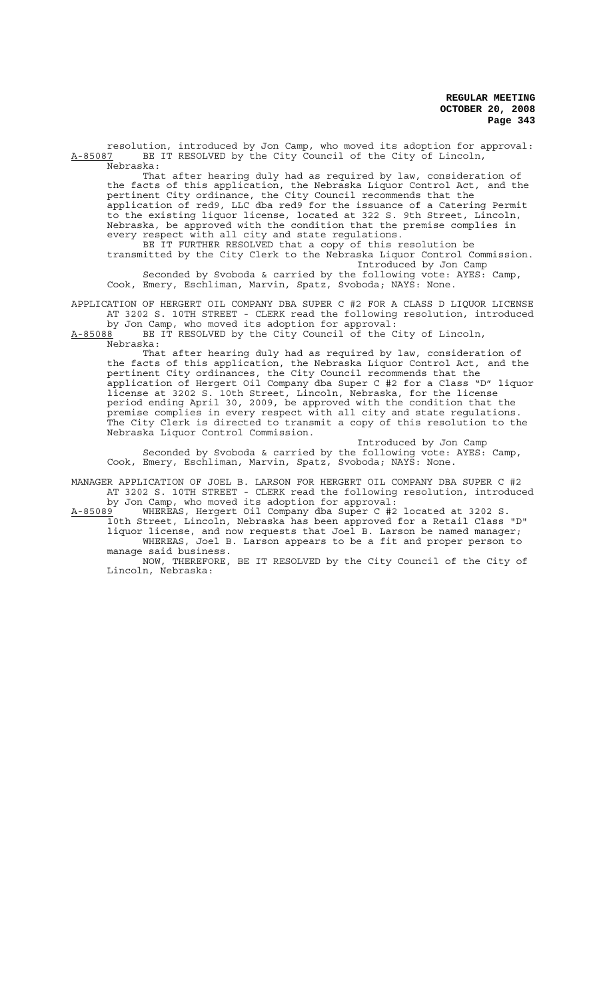resolution, introduced by Jon Camp, who moved its adoption for approval:<br>A-85087 BE IT RESOLVED by the City Council of the City of Lincoln, BE IT RESOLVED by the City Council of the City of Lincoln, Nebraska:

That after hearing duly had as required by law, consideration of the facts of this application, the Nebraska Liquor Control Act, and the pertinent City ordinance, the City Council recommends that the application of red9, LLC dba red9 for the issuance of a Catering Permit to the existing liquor license, located at 322 S. 9th Street, Lincoln, Nebraska, be approved with the condition that the premise complies in every respect with all city and state regulations.

BE IT FURTHER RESOLVED that a copy of this resolution be transmitted by the City Clerk to the Nebraska Liquor Control Commission. Introduced by Jon Camp Seconded by Svoboda & carried by the following vote: AYES: Camp, Cook, Emery, Eschliman, Marvin, Spatz, Svoboda; NAYS: None.

APPLICATION OF HERGERT OIL COMPANY DBA SUPER C #2 FOR A CLASS D LIQUOR LICENSE AT 3202 S. 10TH STREET - CLERK read the following resolution, introduced by Jon Camp, who moved its adoption for approval:

A-85088 BE IT RESOLVED by the City Council of the City of Lincoln, Nebraska:

That after hearing duly had as required by law, consideration of the facts of this application, the Nebraska Liquor Control Act, and the pertinent City ordinances, the City Council recommends that the application of Hergert Oil Company dba Super C #2 for a Class "D" liquor license at 3202 S. 10th Street, Lincoln, Nebraska, for the license period ending April 30, 2009, be approved with the condition that the premise complies in every respect with all city and state regulations. The City Clerk is directed to transmit a copy of this resolution to the Nebraska Liquor Control Commission.

Introduced by Jon Camp Seconded by Svoboda & carried by the following vote: AYES: Camp, Cook, Emery, Eschliman, Marvin, Spatz, Svoboda; NAYS: None.

MANAGER APPLICATION OF JOEL B. LARSON FOR HERGERT OIL COMPANY DBA SUPER C #2 AT 3202 S. 10TH STREET - CLERK read the following resolution, introduced by Jon Camp, who moved its adoption for approval:

A-85089 WHEREAS, Hergert Oil Company dba Super C #2 located at 3202 S. 10th Street, Lincoln, Nebraska has been approved for a Retail Class "D" liquor license, and now requests that Joel B. Larson be named manager; WHEREAS, Joel B. Larson appears to be a fit and proper person to manage said business.

NOW, THEREFORE, BE IT RESOLVED by the City Council of the City of Lincoln, Nebraska: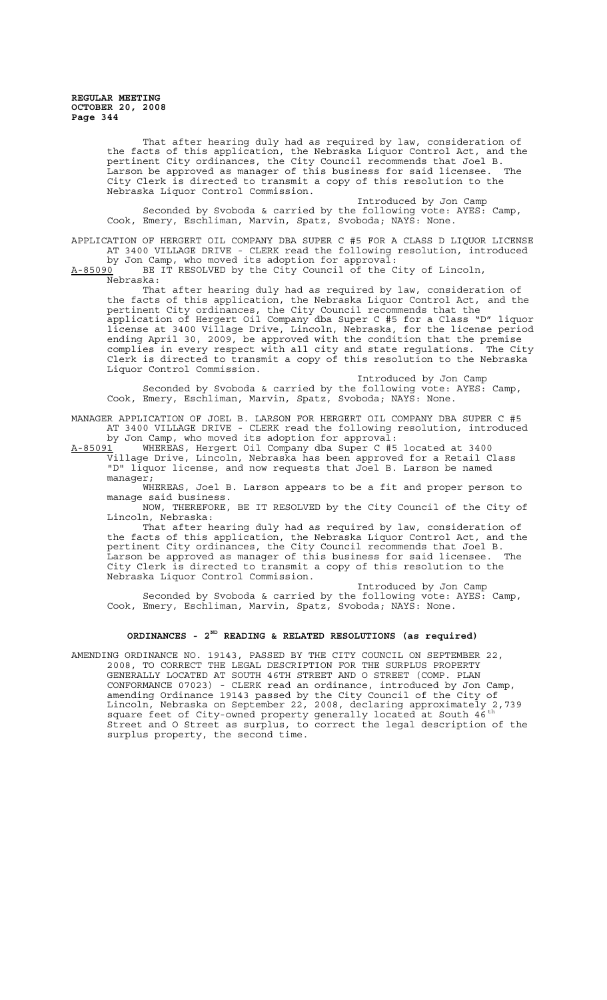> That after hearing duly had as required by law, consideration of the facts of this application, the Nebraska Liquor Control Act, and the pertinent City ordinances, the City Council recommends that Joel B. Larson be approved as manager of this business for said licensee. The City Clerk is directed to transmit a copy of this resolution to the Nebraska Liquor Control Commission.

Introduced by Jon Camp Seconded by Svoboda & carried by the following vote: AYES: Camp, Cook, Emery, Eschliman, Marvin, Spatz, Svoboda; NAYS: None.

APPLICATION OF HERGERT OIL COMPANY DBA SUPER C #5 FOR A CLASS D LIQUOR LICENSE AT 3400 VILLAGE DRIVE - CLERK read the following resolution, introduced by Jon Camp, who moved its adoption for approval:

A-85090 BE IT RESOLVED by the City Council of the City of Lincoln, Nebraska:

That after hearing duly had as required by law, consideration of the facts of this application, the Nebraska Liquor Control Act, and the pertinent City ordinances, the City Council recommends that the application of Hergert Oil Company dba Super C #5 for a Class "D" liquor license at 3400 Village Drive, Lincoln, Nebraska, for the license period ending April 30, 2009, be approved with the condition that the premise complies in every respect with all city and state regulations. The City Clerk is directed to transmit a copy of this resolution to the Nebraska Liquor Control Commission.

Introduced by Jon Camp Seconded by Svoboda & carried by the following vote: AYES: Camp, Cook, Emery, Eschliman, Marvin, Spatz, Svoboda; NAYS: None.

MANAGER APPLICATION OF JOEL B. LARSON FOR HERGERT OIL COMPANY DBA SUPER C #5 AT 3400 VILLAGE DRIVE - CLERK read the following resolution, introduced by Jon Camp, who moved its adoption for approval:

A-85091 WHEREAS, Hergert Oil Company dba Super C #5 located at 3400 Village Drive, Lincoln, Nebraska has been approved for a Retail Class "D" liquor license, and now requests that Joel B. Larson be named manager;

WHEREAS, Joel B. Larson appears to be a fit and proper person to manage said business.

NOW, THEREFORE, BE IT RESOLVED by the City Council of the City of Lincoln, Nebraska:

That after hearing duly had as required by law, consideration of the facts of this application, the Nebraska Liquor Control Act, and the pertinent City ordinances, the City Council recommends that Joel B. .<br>Larson be approved as manager of this business for said licensee. The City Clerk is directed to transmit a copy of this resolution to the Nebraska Liquor Control Commission.

Introduced by Jon Camp Seconded by Svoboda & carried by the following vote: AYES: Camp, Cook, Emery, Eschliman, Marvin, Spatz, Svoboda; NAYS: None.

## **ORDINANCES - 2ND READING & RELATED RESOLUTIONS (as required)**

AMENDING ORDINANCE NO. 19143, PASSED BY THE CITY COUNCIL ON SEPTEMBER 22, 2008, TO CORRECT THE LEGAL DESCRIPTION FOR THE SURPLUS PROPERTY GENERALLY LOCATED AT SOUTH 46TH STREET AND O STREET (COMP. PLAN CONFORMANCE 07023) - CLERK read an ordinance, introduced by Jon Camp, amending Ordinance 19143 passed by the City Council of the City of Lincoln, Nebraska on September 22, 2008, declaring approximately 2,739 square feet of City-owned property generally located at South 46<sup>th</sup> Street and O Street as surplus, to correct the legal description of the surplus property, the second time.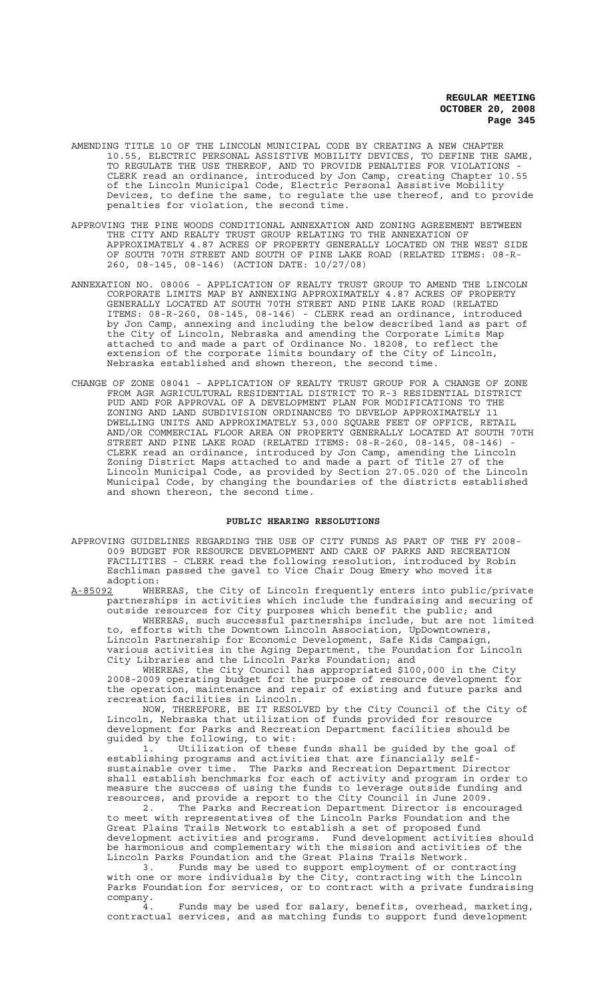- AMENDING TITLE 10 OF THE LINCOLN MUNICIPAL CODE BY CREATING A NEW CHAPTER 10.55, ELECTRIC PERSONAL ASSISTIVE MOBILITY DEVICES, TO DEFINE THE SAME, TO REGULATE THE USE THEREOF, AND TO PROVIDE PENALTIES FOR VIOLATIONS - CLERK read an ordinance, introduced by Jon Camp, creating Chapter 10.55 of the Lincoln Municipal Code, Electric Personal Assistive Mobility Devices, to define the same, to regulate the use thereof, and to provide penalties for violation, the second time.
- APPROVING THE PINE WOODS CONDITIONAL ANNEXATION AND ZONING AGREEMENT BETWEEN THE CITY AND REALTY TRUST GROUP RELATING TO THE ANNEXATION OF APPROXIMATELY 4.87 ACRES OF PROPERTY GENERALLY LOCATED ON THE WEST SIDE OF SOUTH 70TH STREET AND SOUTH OF PINE LAKE ROAD (RELATED ITEMS: 08-R-260, 08-145, 08-146) (ACTION DATE: 10/27/08)
- ANNEXATION NO. 08006 APPLICATION OF REALTY TRUST GROUP TO AMEND THE LINCOLN CORPORATE LIMITS MAP BY ANNEXING APPROXIMATELY 4.87 ACRES OF PROPERTY GENERALLY LOCATED AT SOUTH 70TH STREET AND PINE LAKE ROAD (RELATED ITEMS: 08-R-260, 08-145, 08-146) - CLERK read an ordinance, introduced by Jon Camp, annexing and including the below described land as part of the City of Lincoln, Nebraska and amending the Corporate Limits Map attached to and made a part of Ordinance No. 18208, to reflect the extension of the corporate limits boundary of the City of Lincoln, Nebraska established and shown thereon, the second time.
- CHANGE OF ZONE 08041 APPLICATION OF REALTY TRUST GROUP FOR A CHANGE OF ZONE FROM AGR AGRICULTURAL RESIDENTIAL DISTRICT TO R-3 RESIDENTIAL DISTRICT PUD AND FOR APPROVAL OF A DEVELOPMENT PLAN FOR MODIFICATIONS TO THE ZONING AND LAND SUBDIVISION ORDINANCES TO DEVELOP APPROXIMATELY 11 DWELLING UNITS AND APPROXIMATELY 53,000 SQUARE FEET OF OFFICE, RETAIL AND/OR COMMERCIAL FLOOR AREA ON PROPERTY GENERALLY LOCATED AT SOUTH 70TH STREET AND PINE LAKE ROAD (RELATED ITEMS: 08-R-260, 08-145, 08-146) CLERK read an ordinance, introduced by Jon Camp, amending the Lincoln Zoning District Maps attached to and made a part of Title 27 of the Lincoln Municipal Code, as provided by Section 27.05.020 of the Lincoln Municipal Code, by changing the boundaries of the districts established and shown thereon, the second time.

#### **PUBLIC HEARING RESOLUTIONS**

APPROVING GUIDELINES REGARDING THE USE OF CITY FUNDS AS PART OF THE FY 2008- 009 BUDGET FOR RESOURCE DEVELOPMENT AND CARE OF PARKS AND RECREATION FACILITIES - CLERK read the following resolution, introduced by Robin Eschliman passed the gavel to Vice Chair Doug Emery who moved its

adoption:<br>A-85092 WHE A-85092 WHEREAS, the City of Lincoln frequently enters into public/private partnerships in activities which include the fundraising and securing of outside resources for City purposes which benefit the public; and WHEREAS, such successful partnerships include, but are not limited to, efforts with the Downtown Lincoln Association, UpDowntowners, Lincoln Partnership for Economic Development, Safe Kids Campaign, various activities in the Aging Department, the Foundation for Lincoln

City Libraries and the Lincoln Parks Foundation; and WHEREAS, the City Council has appropriated \$100,000 in the City 2008-2009 operating budget for the purpose of resource development for the operation, maintenance and repair of existing and future parks and recreation facilities in Lincoln.

NOW, THEREFORE, BE IT RESOLVED by the City Council of the City of Lincoln, Nebraska that utilization of funds provided for resource development for Parks and Recreation Department facilities should be guided by the following, to wit:

1. Utilization of these funds shall be guided by the goal of establishing programs and activities that are financially selfsustainable over time. The Parks and Recreation Department Director shall establish benchmarks for each of activity and program in order to measure the success of using the funds to leverage outside funding and resources, and provide a report to the City Council in June 2009.

2. The Parks and Recreation Department Director is encouraged to meet with representatives of the Lincoln Parks Foundation and the Great Plains Trails Network to establish a set of proposed fund development activities and programs. Fund development activities should be harmonious and complementary with the mission and activities of the Lincoln Parks Foundation and the Great Plains Trails Network.

3. Funds may be used to support employment of or contracting with one or more individuals by the City, contracting with the Lincoln Parks Foundation for services, or to contract with a private fundraising company.

4. Funds may be used for salary, benefits, overhead, marketing, contractual services, and as matching funds to support fund development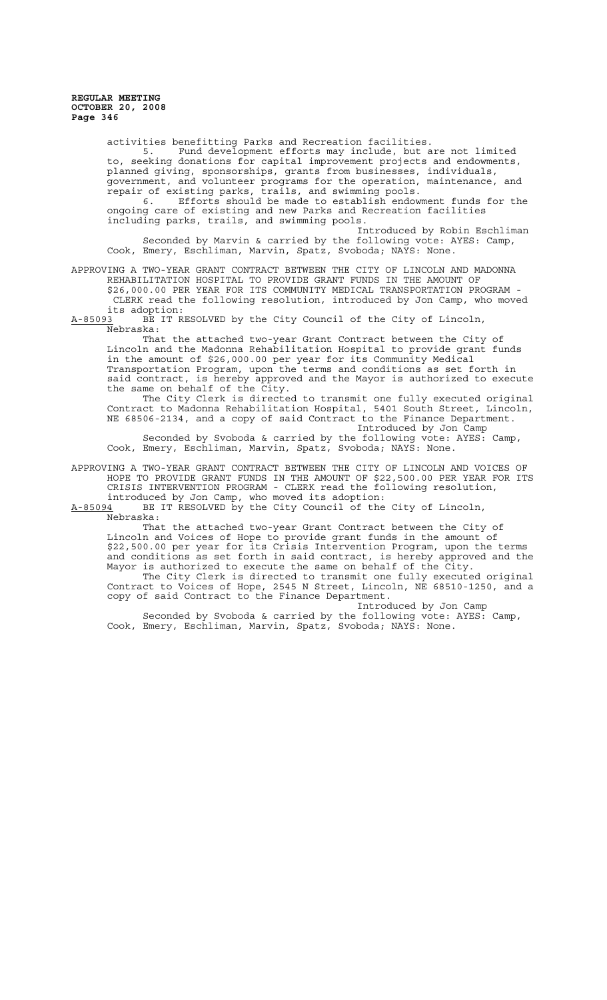activities benefitting Parks and Recreation facilities. 5. Fund development efforts may include, but are not limited to, seeking donations for capital improvement projects and endowments, planned giving, sponsorships, grants from businesses, individuals, government, and volunteer programs for the operation, maintenance, and repair of existing parks, trails, and swimming pools. 6. Efforts should be made to establish endowment funds for the ongoing care of existing and new Parks and Recreation facilities including parks, trails, and swimming pools. Introduced by Robin Eschliman Seconded by Marvin & carried by the following vote: AYES: Camp, Cook, Emery, Eschliman, Marvin, Spatz, Svoboda; NAYS: None. APPROVING A TWO-YEAR GRANT CONTRACT BETWEEN THE CITY OF LINCOLN AND MADONNA

REHABILITATION HOSPITAL TO PROVIDE GRANT FUNDS IN THE AMOUNT OF \$26,000.00 PER YEAR FOR ITS COMMUNITY MEDICAL TRANSPORTATION PROGRAM - CLERK read the following resolution, introduced by Jon Camp, who moved

its adoption:<br><u>A-85093</u> BE IT R BE IT RESOLVED by the City Council of the City of Lincoln, Nebraska:

That the attached two-year Grant Contract between the City of Lincoln and the Madonna Rehabilitation Hospital to provide grant funds in the amount of \$26,000.00 per year for its Community Medical Transportation Program, upon the terms and conditions as set forth in said contract, is hereby approved and the Mayor is authorized to execute the same on behalf of the City.

The City Clerk is directed to transmit one fully executed original Contract to Madonna Rehabilitation Hospital, 5401 South Street, Lincoln, NE 68506-2134, and a copy of said Contract to the Finance Department. Introduced by Jon Camp Seconded by Svoboda & carried by the following vote: AYES: Camp,

Cook, Emery, Eschliman, Marvin, Spatz, Svoboda; NAYS: None.

APPROVING A TWO-YEAR GRANT CONTRACT BETWEEN THE CITY OF LINCOLN AND VOICES OF HOPE TO PROVIDE GRANT FUNDS IN THE AMOUNT OF \$22,500.00 PER YEAR FOR ITS CRISIS INTERVENTION PROGRAM - CLERK read the following resolution, introduced by Jon Camp, who moved its adoption:

A-85094 BE IT RESOLVED by the City Council of the City of Lincoln, Nebraska:

That the attached two-year Grant Contract between the City of Lincoln and Voices of Hope to provide grant funds in the amount of \$22,500.00 per year for its Crisis Intervention Program, upon the terms and conditions as set forth in said contract, is hereby approved and the Mayor is authorized to execute the same on behalf of the City. The City Clerk is directed to transmit one fully executed original Contract to Voices of Hope, 2545 N Street, Lincoln, NE 68510-1250, and a copy of said Contract to the Finance Department.

Introduced by Jon Camp Seconded by Svoboda & carried by the following vote: AYES: Camp, Cook, Emery, Eschliman, Marvin, Spatz, Svoboda; NAYS: None.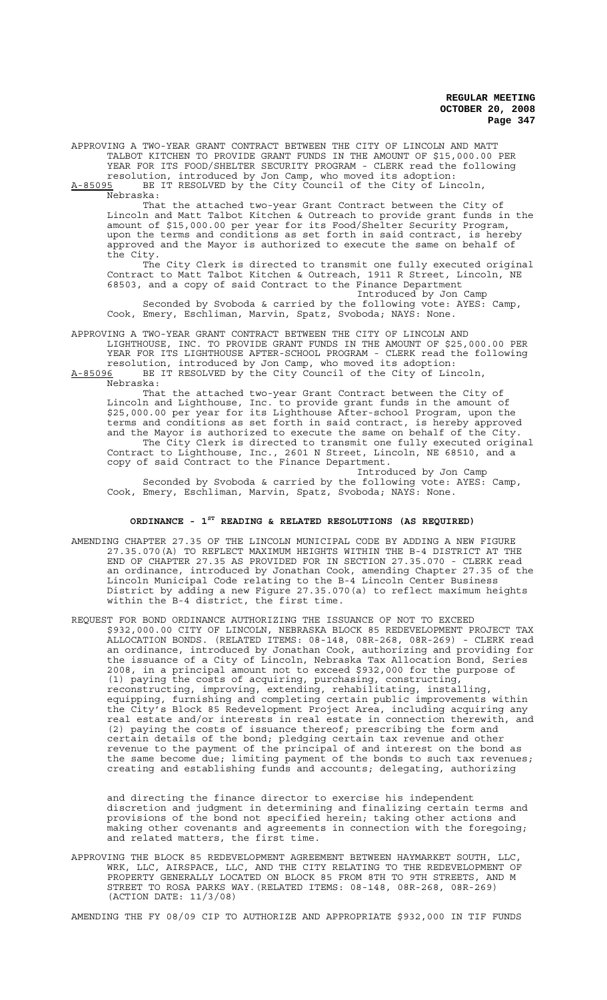APPROVING A TWO-YEAR GRANT CONTRACT BETWEEN THE CITY OF LINCOLN AND MATT TALBOT KITCHEN TO PROVIDE GRANT FUNDS IN THE AMOUNT OF \$15,000.00 PER YEAR FOR ITS FOOD/SHELTER SECURITY PROGRAM - CLERK read the following

resolution, introduced by Jon Camp, who moved its adoption: A-85095 BE IT RESOLVED by the City Council of the City of Lincoln,

Nebraska:

That the attached two-year Grant Contract between the City of Lincoln and Matt Talbot Kitchen & Outreach to provide grant funds in the amount of \$15,000.00 per year for its Food/Shelter Security Program, upon the terms and conditions as set forth in said contract, is hereby approved and the Mayor is authorized to execute the same on behalf of the City.

The City Clerk is directed to transmit one fully executed original Contract to Matt Talbot Kitchen & Outreach, 1911 R Street, Lincoln, NE 68503, and a copy of said Contract to the Finance Department Introduced by Jon Camp

Seconded by Svoboda & carried by the following vote: AYES: Camp, Cook, Emery, Eschliman, Marvin, Spatz, Svoboda; NAYS: None.

APPROVING A TWO-YEAR GRANT CONTRACT BETWEEN THE CITY OF LINCOLN AND

LIGHTHOUSE, INC. TO PROVIDE GRANT FUNDS IN THE AMOUNT OF \$25,000.00 PER YEAR FOR ITS LIGHTHOUSE AFTER-SCHOOL PROGRAM - CLERK read the following resolution, introduced by Jon Camp, who moved its adoption:<br>A-85096 BE IT RESOLVED by the City Council of the City of Line BE IT RESOLVED by the City Council of the City of Lincoln, Nebraska:

That the attached two-year Grant Contract between the City of Lincoln and Lighthouse, Inc. to provide grant funds in the amount of \$25,000.00 per year for its Lighthouse After-school Program, upon the terms and conditions as set forth in said contract, is hereby approved and the Mayor is authorized to execute the same on behalf of the City. The City Clerk is directed to transmit one fully executed original Contract to Lighthouse, Inc., 2601 N Street, Lincoln, NE 68510, and a copy of said Contract to the Finance Department.

Introduced by Jon Camp Seconded by Svoboda & carried by the following vote: AYES: Camp, Cook, Emery, Eschliman, Marvin, Spatz, Svoboda; NAYS: None.

## **ORDINANCE - 1ST READING & RELATED RESOLUTIONS (AS REQUIRED)**

AMENDING CHAPTER 27.35 OF THE LINCOLN MUNICIPAL CODE BY ADDING A NEW FIGURE 27.35.070(A) TO REFLECT MAXIMUM HEIGHTS WITHIN THE B-4 DISTRICT AT THE END OF CHAPTER 27.35 AS PROVIDED FOR IN SECTION 27.35.070 - CLERK read an ordinance, introduced by Jonathan Cook, amending Chapter 27.35 of the Lincoln Municipal Code relating to the B-4 Lincoln Center Business District by adding a new Figure 27.35.070(a) to reflect maximum heights within the B-4 district, the first time.

REQUEST FOR BOND ORDINANCE AUTHORIZING THE ISSUANCE OF NOT TO EXCEED \$932,000.00 CITY OF LINCOLN, NEBRASKA BLOCK 85 REDEVELOPMENT PROJECT TAX ALLOCATION BONDS. (RELATED ITEMS: 08-148, 08R-268, 08R-269) - CLERK read an ordinance, introduced by Jonathan Cook, authorizing and providing for the issuance of a City of Lincoln, Nebraska Tax Allocation Bond, Series 2008, in a principal amount not to exceed \$932,000 for the purpose of (1) paying the costs of acquiring, purchasing, constructing, reconstructing, improving, extending, rehabilitating, installing, equipping, furnishing and completing certain public improvements within the City's Block 85 Redevelopment Project Area, including acquiring any real estate and/or interests in real estate in connection therewith, and (2) paying the costs of issuance thereof; prescribing the form and certain details of the bond; pledging certain tax revenue and other revenue to the payment of the principal of and interest on the bond as the same become due; limiting payment of the bonds to such tax revenues; creating and establishing funds and accounts; delegating, authorizing

and directing the finance director to exercise his independent discretion and judgment in determining and finalizing certain terms and provisions of the bond not specified herein; taking other actions and making other covenants and agreements in connection with the foregoing; and related matters, the first time.

APPROVING THE BLOCK 85 REDEVELOPMENT AGREEMENT BETWEEN HAYMARKET SOUTH, LLC, WRK, LLC, AIRSPACE, LLC, AND THE CITY RELATING TO THE REDEVELOPMENT OF PROPERTY GENERALLY LOCATED ON BLOCK 85 FROM 8TH TO 9TH STREETS, AND M STREET TO ROSA PARKS WAY.(RELATED ITEMS: 08-148, 08R-268, 08R-269) (ACTION DATE: 11/3/08)

AMENDING THE FY 08/09 CIP TO AUTHORIZE AND APPROPRIATE \$932,000 IN TIF FUNDS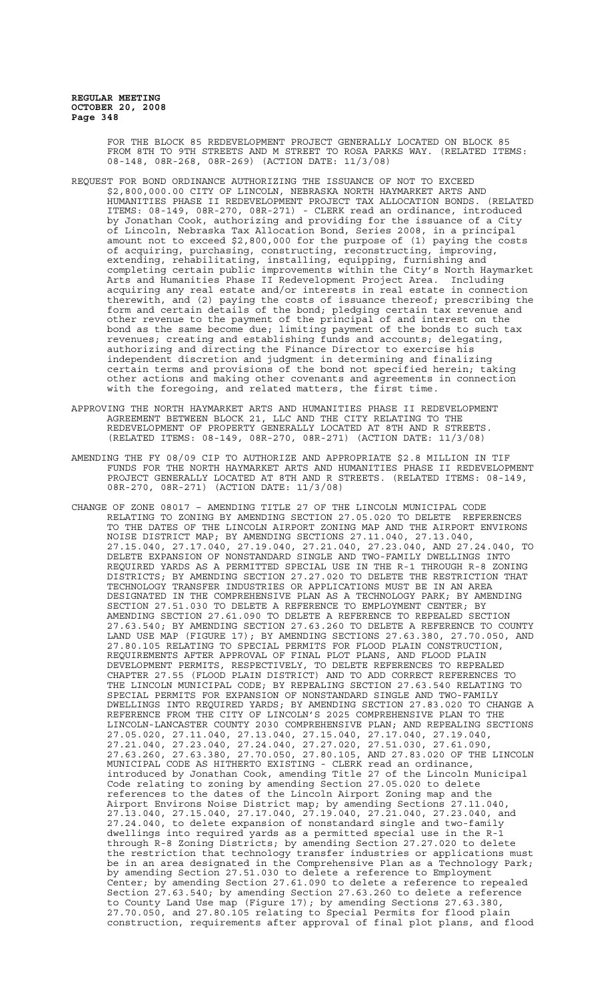FOR THE BLOCK 85 REDEVELOPMENT PROJECT GENERALLY LOCATED ON BLOCK 85 FROM 8TH TO 9TH STREETS AND M STREET TO ROSA PARKS WAY. (RELATED ITEMS: 08-148, 08R-268, 08R-269) (ACTION DATE: 11/3/08)

- REQUEST FOR BOND ORDINANCE AUTHORIZING THE ISSUANCE OF NOT TO EXCEED \$2,800,000.00 CITY OF LINCOLN, NEBRASKA NORTH HAYMARKET ARTS AND HUMANITIES PHASE II REDEVELOPMENT PROJECT TAX ALLOCATION BONDS. (RELATED ITEMS: 08-149, 08R-270, 08R-271) - CLERK read an ordinance, introduced by Jonathan Cook, authorizing and providing for the issuance of a City of Lincoln, Nebraska Tax Allocation Bond, Series 2008, in a principal amount not to exceed \$2,800,000 for the purpose of (1) paying the costs of acquiring, purchasing, constructing, reconstructing, improving, extending, rehabilitating, installing, equipping, furnishing and completing certain public improvements within the City's North Haymarket Arts and Humanities Phase II Redevelopment Project Area. Including acquiring any real estate and/or interests in real estate in connection therewith, and (2) paying the costs of issuance thereof; prescribing the form and certain details of the bond; pledging certain tax revenue and other revenue to the payment of the principal of and interest on the bond as the same become due; limiting payment of the bonds to such tax revenues; creating and establishing funds and accounts; delegating, authorizing and directing the Finance Director to exercise his independent discretion and judgment in determining and finalizing certain terms and provisions of the bond not specified herein; taking other actions and making other covenants and agreements in connection with the foregoing, and related matters, the first time.
- APPROVING THE NORTH HAYMARKET ARTS AND HUMANITIES PHASE II REDEVELOPMENT AGREEMENT BETWEEN BLOCK 21, LLC AND THE CITY RELATING TO THE REDEVELOPMENT OF PROPERTY GENERALLY LOCATED AT 8TH AND R STREETS. (RELATED ITEMS: 08-149, 08R-270, 08R-271) (ACTION DATE: 11/3/08)
- AMENDING THE FY 08/09 CIP TO AUTHORIZE AND APPROPRIATE \$2.8 MILLION IN TIF FUNDS FOR THE NORTH HAYMARKET ARTS AND HUMANITIES PHASE II REDEVELOPMENT PROJECT GENERALLY LOCATED AT 8TH AND R STREETS. (RELATED ITEMS: 08-149, 08R-270, 08R-271) (ACTION DATE: 11/3/08)
- CHANGE OF ZONE 08017 AMENDING TITLE 27 OF THE LINCOLN MUNICIPAL CODE RELATING TO ZONING BY AMENDING SECTION 27.05.020 TO DELETE REFERENCES TO THE DATES OF THE LINCOLN AIRPORT ZONING MAP AND THE AIRPORT ENVIRONS NOISE DISTRICT MAP; BY AMENDING SECTIONS 27.11.040, 27.13.040, 27.15.040, 27.17.040, 27.19.040, 27.21.040, 27.23.040, AND 27.24.040, TO DELETE EXPANSION OF NONSTANDARD SINGLE AND TWO-FAMILY DWELLINGS INTO REQUIRED YARDS AS A PERMITTED SPECIAL USE IN THE R-1 THROUGH R-8 ZONING DISTRICTS; BY AMENDING SECTION 27.27.020 TO DELETE THE RESTRICTION THAT TECHNOLOGY TRANSFER INDUSTRIES OR APPLICATIONS MUST BE IN AN AREA DESIGNATED IN THE COMPREHENSIVE PLAN AS A TECHNOLOGY PARK; BY AMENDING SECTION 27.51.030 TO DELETE A REFERENCE TO EMPLOYMENT CENTER; BY AMENDING SECTION 27.61.090 TO DELETE A REFERENCE TO REPEALED SECTION 27.63.540; BY AMENDING SECTION 27.63.260 TO DELETE A REFERENCE TO COUNTY LAND USE MAP (FIGURE 17); BY AMENDING SECTIONS 27.63.380, 27.70.050, AND 27.80.105 RELATING TO SPECIAL PERMITS FOR FLOOD PLAIN CONSTRUCTION, REQUIREMENTS AFTER APPROVAL OF FINAL PLOT PLANS, AND FLOOD PLAIN DEVELOPMENT PERMITS, RESPECTIVELY, TO DELETE REFERENCES TO REPEALED CHAPTER 27.55 (FLOOD PLAIN DISTRICT) AND TO ADD CORRECT REFERENCES TO THE LINCOLN MUNICIPAL CODE; BY REPEALING SECTION 27.63.540 RELATING TO SPECIAL PERMITS FOR EXPANSION OF NONSTANDARD SINGLE AND TWO-FAMILY DWELLINGS INTO REQUIRED YARDS; BY AMENDING SECTION 27.83.020 TO CHANGE A REFERENCE FROM THE CITY OF LINCOLN'S 2025 COMPREHENSIVE PLAN TO THE LINCOLN-LANCASTER COUNTY 2030 COMPREHENSIVE PLAN; AND REPEALING SECTIONS 27.05.020, 27.11.040, 27.13.040, 27.15.040, 27.17.040, 27.19.040, 27.21.040, 27.23.040, 27.24.040, 27.27.020, 27.51.030, 27.61.090, 27.63.260, 27.63.380, 27.70.050, 27.80.105, AND 27.83.020 OF THE LINCOLN MUNICIPAL CODE AS HITHERTO EXISTING - CLERK read an ordinance, introduced by Jonathan Cook, amending Title 27 of the Lincoln Municipal Code relating to zoning by amending Section 27.05.020 to delete references to the dates of the Lincoln Airport Zoning map and the Airport Environs Noise District map; by amending Sections 27.11.040, 27.13.040, 27.15.040, 27.17.040, 27.19.040, 27.21.040, 27.23.040, and 27.24.040, to delete expansion of nonstandard single and two-family dwellings into required yards as a permitted special use in the R-1 through R-8 Zoning Districts; by amending Section 27.27.020 to delete the restriction that technology transfer industries or applications must be in an area designated in the Comprehensive Plan as a Technology Park; by amending Section 27.51.030 to delete a reference to Employment Center; by amending Section 27.61.090 to delete a reference to repealed Section 27.63.540; by amending Section 27.63.260 to delete a reference to County Land Use map (Figure 17); by amending Sections 27.63.380, 27.70.050, and 27.80.105 relating to Special Permits for flood plain construction, requirements after approval of final plot plans, and flood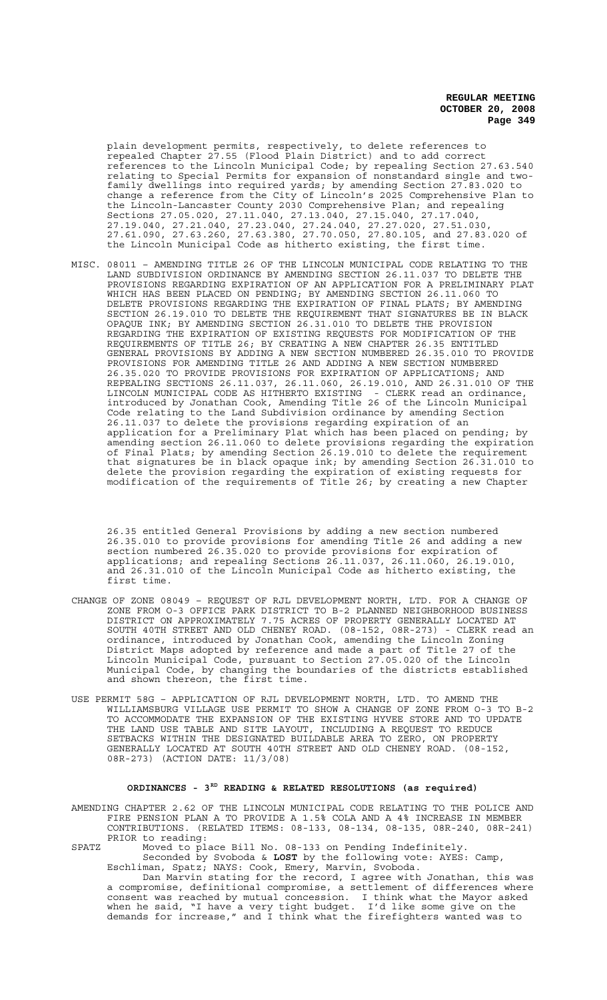plain development permits, respectively, to delete references to repealed Chapter 27.55 (Flood Plain District) and to add correct references to the Lincoln Municipal Code; by repealing Section 27.63.540 relating to Special Permits for expansion of nonstandard single and twofamily dwellings into required yards; by amending Section 27.83.020 to change a reference from the City of Lincoln's 2025 Comprehensive Plan to the Lincoln-Lancaster County 2030 Comprehensive Plan; and repealing Sections 27.05.020, 27.11.040, 27.13.040, 27.15.040, 27.17.040, 27.19.040, 27.21.040, 27.23.040, 27.24.040, 27.27.020, 27.51.030, 27.61.090, 27.63.260, 27.63.380, 27.70.050, 27.80.105, and 27.83.020 of the Lincoln Municipal Code as hitherto existing, the first time.

MISC. 08011 – AMENDING TITLE 26 OF THE LINCOLN MUNICIPAL CODE RELATING TO THE LAND SUBDIVISION ORDINANCE BY AMENDING SECTION 26.11.037 TO DELETE THE PROVISIONS REGARDING EXPIRATION OF AN APPLICATION FOR A PRELIMINARY PLAT WHICH HAS BEEN PLACED ON PENDING; BY AMENDING SECTION 26.11.060 TO DELETE PROVISIONS REGARDING THE EXPIRATION OF FINAL PLATS; BY AMENDING SECTION 26.19.010 TO DELETE THE REQUIREMENT THAT SIGNATURES BE IN BLACK OPAQUE INK; BY AMENDING SECTION 26.31.010 TO DELETE THE PROVISION REGARDING THE EXPIRATION OF EXISTING REQUESTS FOR MODIFICATION OF THE REQUIREMENTS OF TITLE 26; BY CREATING A NEW CHAPTER 26.35 ENTITLED GENERAL PROVISIONS BY ADDING A NEW SECTION NUMBERED 26.35.010 TO PROVIDE PROVISIONS FOR AMENDING TITLE 26 AND ADDING A NEW SECTION NUMBERED 26.35.020 TO PROVIDE PROVISIONS FOR EXPIRATION OF APPLICATIONS; AND REPEALING SECTIONS 26.11.037, 26.11.060, 26.19.010, AND 26.31.010 OF THE<br>LINCOLN MUNICIPAL CODE AS HITHERTO EXISTING - CLERK read an ordinance, LINCOLN MUNICIPAL CODE AS HITHERTO EXISTING introduced by Jonathan Cook, Amending Title 26 of the Lincoln Municipal Code relating to the Land Subdivision ordinance by amending Section 26.11.037 to delete the provisions regarding expiration of an application for a Preliminary Plat which has been placed on pending; by amending section 26.11.060 to delete provisions regarding the expiration of Final Plats; by amending Section 26.19.010 to delete the requirement that signatures be in black opaque ink; by amending Section 26.31.010 to delete the provision regarding the expiration of existing requests for modification of the requirements of Title 26; by creating a new Chapter

26.35 entitled General Provisions by adding a new section numbered 26.35.010 to provide provisions for amending Title 26 and adding a new section numbered 26.35.020 to provide provisions for expiration of applications; and repealing Sections 26.11.037, 26.11.060, 26.19.010, and 26.31.010 of the Lincoln Municipal Code as hitherto existing, the first time.

- CHANGE OF ZONE 08049 REQUEST OF RJL DEVELOPMENT NORTH, LTD. FOR A CHANGE OF ZONE FROM O-3 OFFICE PARK DISTRICT TO B-2 PLANNED NEIGHBORHOOD BUSINESS DISTRICT ON APPROXIMATELY 7.75 ACRES OF PROPERTY GENERALLY LOCATED AT SOUTH 40TH STREET AND OLD CHENEY ROAD. (08-152, 08R-273) - CLERK read an ordinance, introduced by Jonathan Cook, amending the Lincoln Zoning District Maps adopted by reference and made a part of Title 27 of the Lincoln Municipal Code, pursuant to Section 27.05.020 of the Lincoln Municipal Code, by changing the boundaries of the districts established and shown thereon, the first time.
- USE PERMIT 58G APPLICATION OF RJL DEVELOPMENT NORTH, LTD. TO AMEND THE WILLIAMSBURG VILLAGE USE PERMIT TO SHOW A CHANGE OF ZONE FROM O-3 TO B-2 TO ACCOMMODATE THE EXPANSION OF THE EXISTING HYVEE STORE AND TO UPDATE THE LAND USE TABLE AND SITE LAYOUT, INCLUDING A REQUEST TO REDUCE SETBACKS WITHIN THE DESIGNATED BUILDABLE AREA TO ZERO, ON PROPERTY GENERALLY LOCATED AT SOUTH 40TH STREET AND OLD CHENEY ROAD. (08-152, 08R-273) (ACTION DATE: 11/3/08)

# **ORDINANCES - 3RD READING & RELATED RESOLUTIONS (as required)**

AMENDING CHAPTER 2.62 OF THE LINCOLN MUNICIPAL CODE RELATING TO THE POLICE AND FIRE PENSION PLAN A TO PROVIDE A 1.5% COLA AND A 4% INCREASE IN MEMBER CONTRIBUTIONS. (RELATED ITEMS: 08-133, 08-134, 08-135, 08R-240, 08R-241) PRIOR to reading:

SPATZ Moved to place Bill No. 08-133 on Pending Indefinitely. Seconded by Svoboda & **LOST** by the following vote: AYES: Camp, Eschliman, Spatz; NAYS: Cook, Emery, Marvin, Svoboda.

Dan Marvin stating for the record, I agree with Jonathan, this was a compromise, definitional compromise, a settlement of differences where consent was reached by mutual concession. I think what the Mayor asked when he said, "I have a very tight budget. I'd like some give on the demands for increase," and I think what the firefighters wanted was to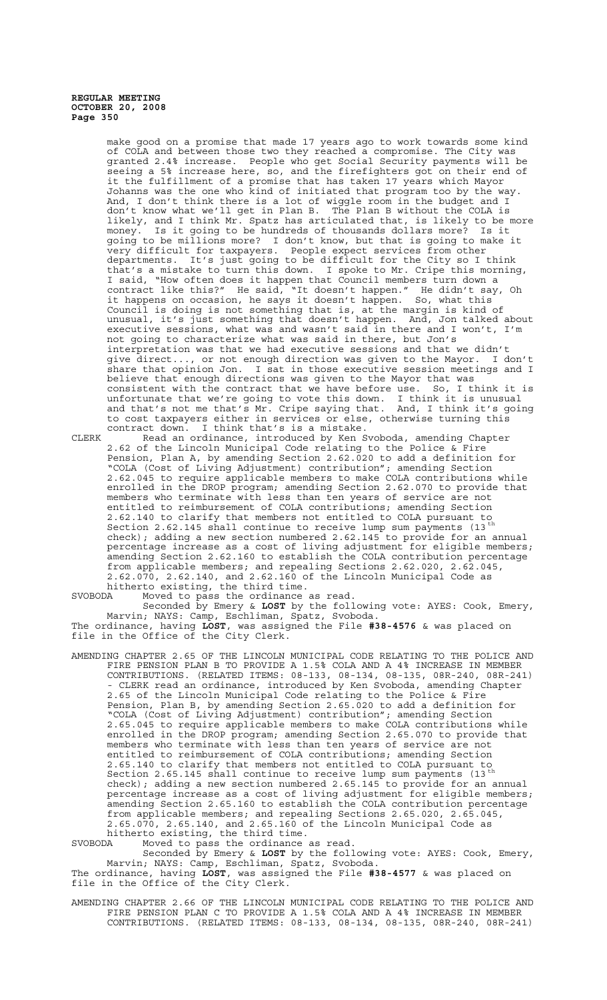> make good on a promise that made 17 years ago to work towards some kind of COLA and between those two they reached a compromise. The City was granted 2.4% increase. People who get Social Security payments will be seeing a 5% increase here, so, and the firefighters got on their end of it the fulfillment of a promise that has taken 17 years which Mayor Johanns was the one who kind of initiated that program too by the way. And, I don't think there is a lot of wiggle room in the budget and I don't know what we'll get in Plan B. The Plan B without the COLA is likely, and I think Mr. Spatz has articulated that, is likely to be more money. Is it going to be hundreds of thousands dollars more? Is it going to be millions more? I don't know, but that is going to make it very difficult for taxpayers. People expect services from other departments. It's just going to be difficult for the City so I think that's a mistake to turn this down. I spoke to Mr. Cripe this morning, I said, "How often does it happen that Council members turn down a contract like this?" He said, "It doesn't happen." He didn't say, Oh it happens on occasion, he says it doesn't happen. So, what this Council is doing is not something that is, at the margin is kind of unusual, it's just something that doesn't happen. And, Jon talked about executive sessions, what was and wasn't said in there and I won't, I'm not going to characterize what was said in there, but Jon's interpretation was that we had executive sessions and that we didn't give direct..., or not enough direction was given to the Mayor. I don't share that opinion Jon. I sat in those executive session meetings and I believe that enough directions was given to the Mayor that was consistent with the contract that we have before use. So, I think it is unfortunate that we're going to vote this down. I think it is unusual and that's not me that's Mr. Cripe saying that. And, I think it's going to cost taxpayers either in services or else, otherwise turning this contract down. I think that's is a mistake.

CLERK Read an ordinance, introduced by Ken Svoboda, amending Chapter 2.62 of the Lincoln Municipal Code relating to the Police & Fire Pension, Plan A, by amending Section 2.62.020 to add a definition for "COLA (Cost of Living Adjustment) contribution"; amending Section 2.62.045 to require applicable members to make COLA contributions while enrolled in the DROP program; amending Section 2.62.070 to provide that members who terminate with less than ten years of service are not entitled to reimbursement of COLA contributions; amending Section 2.62.140 to clarify that members not entitled to COLA pursuant to Section 2.62.145 shall continue to receive lump sum payments (13<sup>th</sup> check); adding a new section numbered 2.62.145 to provide for an annual percentage increase as a cost of living adjustment for eligible members; amending Section 2.62.160 to establish the COLA contribution percentage from applicable members; and repealing Sections 2.62.020, 2.62.045, 2.62.070, 2.62.140, and 2.62.160 of the Lincoln Municipal Code as hitherto existing, the third time.

SVOBODA Moved to pass the ordinance as read.

Seconded by Emery & **LOST** by the following vote: AYES: Cook, Emery, Marvin; NAYS: Camp, Eschliman, Spatz, Svoboda. The ordinance, having **LOST**, was assigned the File **#38-4576** & was placed on file in the Office of the City Clerk.

AMENDING CHAPTER 2.65 OF THE LINCOLN MUNICIPAL CODE RELATING TO THE POLICE AND FIRE PENSION PLAN B TO PROVIDE A 1.5% COLA AND A 4% INCREASE IN MEMBER CONTRIBUTIONS. (RELATED ITEMS: 08-133, 08-134, 08-135, 08R-240, 08R-241) - CLERK read an ordinance, introduced by Ken Svoboda, amending Chapter 2.65 of the Lincoln Municipal Code relating to the Police & Fire Pension, Plan B, by amending Section 2.65.020 to add a definition for "COLA (Cost of Living Adjustment) contribution"; amending Section 2.65.045 to require applicable members to make COLA contributions while enrolled in the DROP program; amending Section 2.65.070 to provide that members who terminate with less than ten years of service are not entitled to reimbursement of COLA contributions; amending Section 2.65.140 to clarify that members not entitled to COLA pursuant to Section 2.65.145  $sin$ all continue to receive lump sum payments (13<sup>th</sup> check); adding a new section numbered 2.65.145 to provide for an annual percentage increase as a cost of living adjustment for eligible members; amending Section 2.65.160 to establish the COLA contribution percentage from applicable members; and repealing Sections 2.65.020, 2.65.045, 2.65.070, 2.65.140, and 2.65.160 of the Lincoln Municipal Code as hitherto existing, the third time.

SVOBODA Moved to pass the ordinance as read.

Seconded by Emery & **LOST** by the following vote: AYES: Cook, Emery, Marvin; NAYS: Camp, Eschliman, Spatz, Svoboda. The ordinance, having **LOST**, was assigned the File **#38-4577** & was placed on file in the Office of the City Clerk.

AMENDING CHAPTER 2.66 OF THE LINCOLN MUNICIPAL CODE RELATING TO THE POLICE AND FIRE PENSION PLAN C TO PROVIDE A 1.5% COLA AND A 4% INCREASE IN MEMBER CONTRIBUTIONS. (RELATED ITEMS: 08-133, 08-134, 08-135, 08R-240, 08R-241)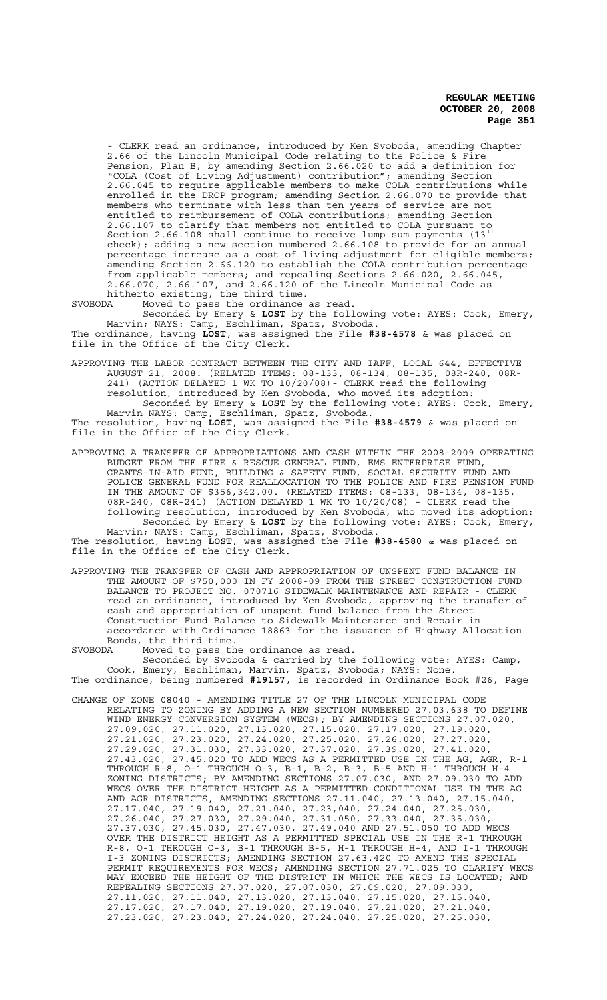- CLERK read an ordinance, introduced by Ken Svoboda, amending Chapter 2.66 of the Lincoln Municipal Code relating to the Police & Fire Pension, Plan B, by amending Section 2.66.020 to add a definition for "COLA (Cost of Living Adjustment) contribution"; amending Section 2.66.045 to require applicable members to make COLA contributions while enrolled in the DROP program; amending Section 2.66.070 to provide that members who terminate with less than ten years of service are not entitled to reimbursement of COLA contributions; amending Section 2.66.107 to clarify that members not entitled to COLA pursuant to Section 2.66.108  $\sinh$  and  $\sinh$  and  $\sin$  and  $\sin$   $\sin$   $\sin$   $\sin$ check); adding a new section numbered 2.66.108 to provide for an annual percentage increase as a cost of living adjustment for eligible members; amending Section 2.66.120 to establish the COLA contribution percentage from applicable members; and repealing Sections 2.66.020, 2.66.045, 2.66.070, 2.66.107, and 2.66.120 of the Lincoln Municipal Code as hitherto existing, the third time.

SVOBODA Moved to pass the ordinance as read.

Seconded by Emery & **LOST** by the following vote: AYES: Cook, Emery, Marvin; NAYS: Camp, Eschliman, Spatz, Svoboda. The ordinance, having **LOST**, was assigned the File **#38-4578** & was placed on file in the Office of the City Clerk.

APPROVING THE LABOR CONTRACT BETWEEN THE CITY AND IAFF, LOCAL 644, EFFECTIVE AUGUST 21, 2008. (RELATED ITEMS: 08-133, 08-134, 08-135, 08R-240, 08R-241) (ACTION DELAYED 1 WK TO 10/20/08)- CLERK read the following resolution, introduced by Ken Svoboda, who moved its adoption: Seconded by Emery & **LOST** by the following vote: AYES: Cook, Emery, Marvin NAYS: Camp, Eschliman, Spatz, Svoboda.

The resolution, having **LOST**, was assigned the File **#38-4579** & was placed on file in the Office of the City Clerk.

APPROVING A TRANSFER OF APPROPRIATIONS AND CASH WITHIN THE 2008-2009 OPERATING BUDGET FROM THE FIRE & RESCUE GENERAL FUND, EMS ENTERPRISE FUND, GRANTS-IN-AID FUND, BUILDING & SAFETY FUND, SOCIAL SECURITY FUND AND POLICE GENERAL FUND FOR REALLOCATION TO THE POLICE AND FIRE PENSION FUND IN THE AMOUNT OF \$356,342.00. (RELATED ITEMS: 08-133, 08-134, 08-135, 08R-240, 08R-241) (ACTION DELAYED 1 WK TO 10/20/08) - CLERK read the following resolution, introduced by Ken Svoboda, who moved its adoption: Seconded by Emery & **LOST** by the following vote: AYES: Cook, Emery, Marvin; NAYS: Camp, Eschliman, Spatz, Svoboda. The resolution, having **LOST**, was assigned the File **#38-4580** & was placed on

file in the Office of the City Clerk.

- APPROVING THE TRANSFER OF CASH AND APPROPRIATION OF UNSPENT FUND BALANCE IN THE AMOUNT OF \$750,000 IN FY 2008-09 FROM THE STREET CONSTRUCTION FUND BALANCE TO PROJECT NO. 070716 SIDEWALK MAINTENANCE AND REPAIR - CLERK read an ordinance, introduced by Ken Svoboda, approving the transfer of cash and appropriation of unspent fund balance from the Street Construction Fund Balance to Sidewalk Maintenance and Repair in accordance with Ordinance 18863 for the issuance of Highway Allocation Bonds, the third time.
- SVOBODA Moved to pass the ordinance as read. Seconded by Svoboda & carried by the following vote: AYES: Camp, Cook, Emery, Eschliman, Marvin, Spatz, Svoboda; NAYS: None. The ordinance, being numbered **#19157**, is recorded in Ordinance Book #26, Page
- CHANGE OF ZONE 08040 AMENDING TITLE 27 OF THE LINCOLN MUNICIPAL CODE RELATING TO ZONING BY ADDING A NEW SECTION NUMBERED 27.03.638 TO DEFINE WIND ENERGY CONVERSION SYSTEM (WECS); BY AMENDING SECTIONS 27.07.020, 27.09.020, 27.11.020, 27.13.020, 27.15.020, 27.17.020, 27.19.020, 27.21.020, 27.23.020, 27.24.020, 27.25.020, 27.26.020, 27.27.020, 27.29.020, 27.31.030, 27.33.020, 27.37.020, 27.39.020, 27.41.020, 27.43.020, 27.45.020 TO ADD WECS AS A PERMITTED USE IN THE AG, AGR, R-1 THROUGH R-8, O-1 THROUGH O-3, B-1, B-2, B-3, B-5 AND H-1 THROUGH H-4 ZONING DISTRICTS; BY AMENDING SECTIONS 27.07.030, AND 27.09.030 TO ADD WECS OVER THE DISTRICT HEIGHT AS A PERMITTED CONDITIONAL USE IN THE AG AND AGR DISTRICTS, AMENDING SECTIONS 27.11.040, 27.13.040, 27.15.040, 27.17.040, 27.19.040, 27.21.040, 27.23,040, 27.24.040, 27.25.030, 27.26.040, 27.27.030, 27.29.040, 27.31.050, 27.33.040, 27.35.030, 27.37.030, 27.45.030, 27.47.030, 27.49.040 AND 27.51.050 TO ADD WECS OVER THE DISTRICT HEIGHT AS A PERMITTED SPECIAL USE IN THE R-1 THROUGH R-8, O-1 THROUGH O-3, B-1 THROUGH B-5, H-1 THROUGH H-4, AND I-1 THROUGH I-3 ZONING DISTRICTS; AMENDING SECTION 27.63.420 TO AMEND THE SPECIAL PERMIT REQUIREMENTS FOR WECS; AMENDING SECTION 27.71.025 TO CLARIFY WECS MAY EXCEED THE HEIGHT OF THE DISTRICT IN WHICH THE WECS IS LOCATED; AND REPEALING SECTIONS 27.07.020, 27.07.030, 27.09.020, 27.09.030, 27.11.020, 27.11.040, 27.13.020, 27.13.040, 27.15.020, 27.15.040, 27.17.020, 27.17.040, 27.19.020, 27.19.040, 27.21.020, 27.21.040, 27.23.020, 27.23.040, 27.24.020, 27.24.040, 27.25.020, 27.25.030,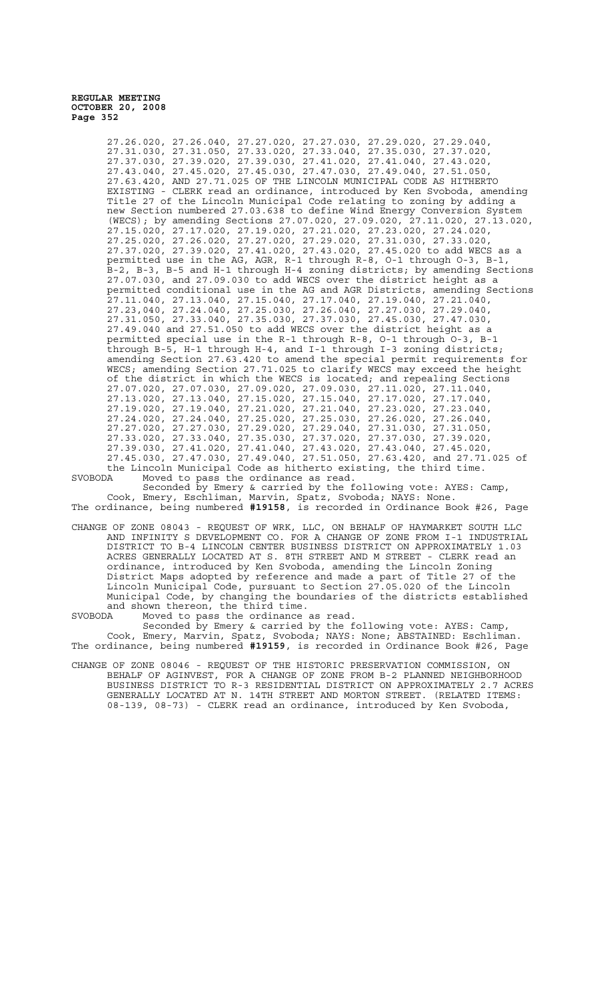> 27.26.020, 27.26.040, 27.27.020, 27.27.030, 27.29.020, 27.29.040, 27.31.030, 27.31.050, 27.33.020, 27.33.040, 27.35.030, 27.37.020, 27.37.030, 27.39.020, 27.39.030, 27.41.020, 27.41.040, 27.43.020, 27.43.040, 27.45.020, 27.45.030, 27.47.030, 27.49.040, 27.51.050, 27.63.420, AND 27.71.025 OF THE LINCOLN MUNICIPAL CODE AS HITHERTO EXISTING - CLERK read an ordinance, introduced by Ken Svoboda, amending Title 27 of the Lincoln Municipal Code relating to zoning by adding a new Section numbered 27.03.638 to define Wind Energy Conversion System<br>mew Section numbered 27.03.638 to define Wind Energy Conversion System (WECS); by amending Sections 27.07.020, 27.09.020, 27.11.020, 27.13.020, 27.15.020, 27.17.020, 27.19.020, 27.21.020, 27.23.020, 27.24.020, 27.25.020, 27.26.020, 27.27.020, 27.29.020, 27.31.030, 27.33.020, 27.37.020, 27.39.020, 27.41.020, 27.43.020, 27.45.020 to add WECS as a permitted use in the AG, AGR, R-1 through R-8, O-1 through O-3, B-1, B-2, B-3, B-5 and H-1 through H-4 zoning districts; by amending Sections 27.07.030, and 27.09.030 to add WECS over the district height as a permitted conditional use in the AG and AGR Districts, amending Sections  $27.11.040, 27.13.040, 27.15.040, 27.17.040, 27.19.040, 27.21.040,$ 27.23,040, 27.24.040, 27.25.030, 27.26.040, 27.27.030, 27.29.040, 27.31.050, 27.33.040, 27.35.030, 27.37.030, 27.45.030, 27.47.030, 27.49.040 and 27.51.050 to add WECS over the district height as a permitted special use in the R-1 through R-8, O-1 through O-3, B-1 through B-5, H-1 through H-4, and I-1 through I-3 zoning districts; amending Section 27.63.420 to amend the special permit requirements for WECS; amending Section 27.71.025 to clarify WECS may exceed the height of the district in which the WECS is located; and repealing Sections 27.07.020, 27.07.030, 27.09.020, 27.09.030, 27.11.020, 27.11.040, 27.13.020, 27.13.040, 27.15.020, 27.15.040, 27.17.020, 27.17.040, 27.19.020, 27.19.040, 27.21.020, 27.21.040, 27.23.020, 27.23.040, 27.24.020, 27.24.040, 27.25.020, 27.25.030, 27.26.020, 27.26.040, 27.27.020, 27.27.030, 27.29.020, 27.29.040, 27.31.030, 27.31.050, 27.33.020, 27.33.040, 27.35.030, 27.37.020, 27.37.030, 27.39.020, 27.39.030, 27.41.020, 27.41.040, 27.43.020, 27.43.040, 27.45.020, 27.45.030, 27.47.030, 27.49.040, 27.51.050, 27.63.420, and 27.71.025 of the Lincoln Municipal Code as hitherto existing, the third time.

SVOBODA Moved to pass the ordinance as read. Seconded by Emery & carried by the following vote: AYES: Camp,

Cook, Emery, Eschliman, Marvin, Spatz, Svoboda; NAYS: None. The ordinance, being numbered **#19158**, is recorded in Ordinance Book #26, Page

CHANGE OF ZONE 08043 - REQUEST OF WRK, LLC, ON BEHALF OF HAYMARKET SOUTH LLC AND INFINITY S DEVELOPMENT CO. FOR A CHANGE OF ZONE FROM I-1 INDUSTRIAL DISTRICT TO B-4 LINCOLN CENTER BUSINESS DISTRICT ON APPROXIMATELY 1.03 ACRES GENERALLY LOCATED AT S. 8TH STREET AND M STREET - CLERK read an ordinance, introduced by Ken Svoboda, amending the Lincoln Zoning District Maps adopted by reference and made a part of Title 27 of the Lincoln Municipal Code, pursuant to Section 27.05.020 of the Lincoln Municipal Code, by changing the boundaries of the districts established and shown thereon, the third time.

SVOBODA Moved to pass the ordinance as read. Seconded by Emery & carried by the following vote: AYES: Camp,

Cook, Emery, Marvin, Spatz, Svoboda; NAYS: None; ABSTAINED: Eschliman. The ordinance, being numbered **#19159**, is recorded in Ordinance Book #26, Page

CHANGE OF ZONE 08046 - REQUEST OF THE HISTORIC PRESERVATION COMMISSION, ON BEHALF OF AGINVEST, FOR A CHANGE OF ZONE FROM B-2 PLANNED NEIGHBORHOOD BUSINESS DISTRICT TO R-3 RESIDENTIAL DISTRICT ON APPROXIMATELY 2.7 ACRES GENERALLY LOCATED AT N. 14TH STREET AND MORTON STREET. (RELATED ITEMS: 08-139, 08-73) - CLERK read an ordinance, introduced by Ken Svoboda,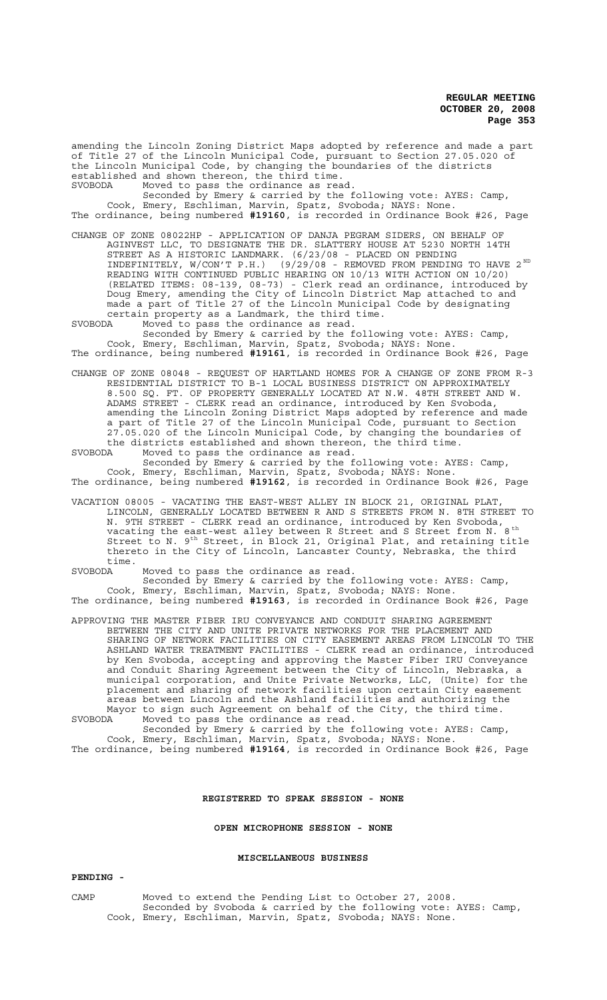amending the Lincoln Zoning District Maps adopted by reference and made a part of Title 27 of the Lincoln Municipal Code, pursuant to Section 27.05.020 of the Lincoln Municipal Code, by changing the boundaries of the districts established and shown thereon, the third time. SVOBODA Moved to pass the ordinance as read.

Seconded by Emery & carried by the following vote: AYES: Camp, Cook, Emery, Eschliman, Marvin, Spatz, Svoboda; NAYS: None. The ordinance, being numbered **#19160**, is recorded in Ordinance Book #26, Page

CHANGE OF ZONE 08022HP - APPLICATION OF DANJA PEGRAM SIDERS, ON BEHALF OF AGINVEST LLC, TO DESIGNATE THE DR. SLATTERY HOUSE AT 5230 NORTH 14TH STREET AS A HISTORIC LANDMARK. (6/23/08 - PLACED ON PENDING INDEFINITELY, W/CON'T P.H.) (9/29/08 - REMOVED FROM PENDING TO HAVE 2<sup>ND</sup> READING WITH CONTINUED PUBLIC HEARING ON 10/13 WITH ACTION ON 10/20) (RELATED ITEMS: 08-139, 08-73) - Clerk read an ordinance, introduced by Doug Emery, amending the City of Lincoln District Map attached to and made a part of Title 27 of the Lincoln Municipal Code by designating certain property as a Landmark, the third time.

SVOBODA Moved to pass the ordinance as read.

Seconded by Emery & carried by the following vote: AYES: Camp, Cook, Emery, Eschliman, Marvin, Spatz, Svoboda; NAYS: None. The ordinance, being numbered **#19161**, is recorded in Ordinance Book #26, Page

CHANGE OF ZONE 08048 - REQUEST OF HARTLAND HOMES FOR A CHANGE OF ZONE FROM R-3 RESIDENTIAL DISTRICT TO B-1 LOCAL BUSINESS DISTRICT ON APPROXIMATELY 8.500 SQ. FT. OF PROPERTY GENERALLY LOCATED AT N.W. 48TH STREET AND W. ADAMS STREET - CLERK read an ordinance, introduced by Ken Svoboda, amending the Lincoln Zoning District Maps adopted by reference and made a part of Title 27 of the Lincoln Municipal Code, pursuant to Section 27.05.020 of the Lincoln Municipal Code, by changing the boundaries of the districts established and shown thereon, the third time.

SVOBODA Moved to pass the ordinance as read.

Seconded by Emery & carried by the following vote: AYES: Camp, Cook, Emery, Eschliman, Marvin, Spatz, Svoboda; NAYS: None. The ordinance, being numbered **#19162**, is recorded in Ordinance Book #26, Page

VACATION 08005 - VACATING THE EAST-WEST ALLEY IN BLOCK 21, ORIGINAL PLAT, LINCOLN, GENERALLY LOCATED BETWEEN R AND S STREETS FROM N. 8TH STREET TO N. 9TH STREET - CLERK read an ordinance, introduced by Ken Svoboda, vacating the east-west alley between R Street and S Street from N.  $8^{\text{th}}$ Street to N. 9<sup>th</sup> Street, in Block 21, Original Plat, and retaining title thereto in the City of Lincoln, Lancaster County, Nebraska, the third time.

SVOBODA Moved to pass the ordinance as read. Seconded by Emery & carried by the following vote: AYES: Camp, Cook, Emery, Eschliman, Marvin, Spatz, Svoboda; NAYS: None. The ordinance, being numbered **#19163**, is recorded in Ordinance Book #26, Page

APPROVING THE MASTER FIBER IRU CONVEYANCE AND CONDUIT SHARING AGREEMENT BETWEEN THE CITY AND UNITE PRIVATE NETWORKS FOR THE PLACEMENT AND SHARING OF NETWORK FACILITIES ON CITY EASEMENT AREAS FROM LINCOLN TO THE ASHLAND WATER TREATMENT FACILITIES - CLERK read an ordinance, introduced by Ken Svoboda, accepting and approving the Master Fiber IRU Conveyance and Conduit Sharing Agreement between the City of Lincoln, Nebraska, a municipal corporation, and Unite Private Networks, LLC, (Unite) for the placement and sharing of network facilities upon certain City easement areas between Lincoln and the Ashland facilities and authorizing the Mayor to sign such Agreement on behalf of the City, the third time. SVOBODA Moved to pass the ordinance as read.

Seconded by Emery & carried by the following vote: AYES: Camp, Cook, Emery, Eschliman, Marvin, Spatz, Svoboda; NAYS: None. The ordinance, being numbered **#19164**, is recorded in Ordinance Book #26, Page

## **REGISTERED TO SPEAK SESSION - NONE**

**OPEN MICROPHONE SESSION - NONE**

## **MISCELLANEOUS BUSINESS**

#### **PENDING -**

CAMP Moved to extend the Pending List to October 27, 2008. Seconded by Svoboda & carried by the following vote: AYES: Camp, Cook, Emery, Eschliman, Marvin, Spatz, Svoboda; NAYS: None.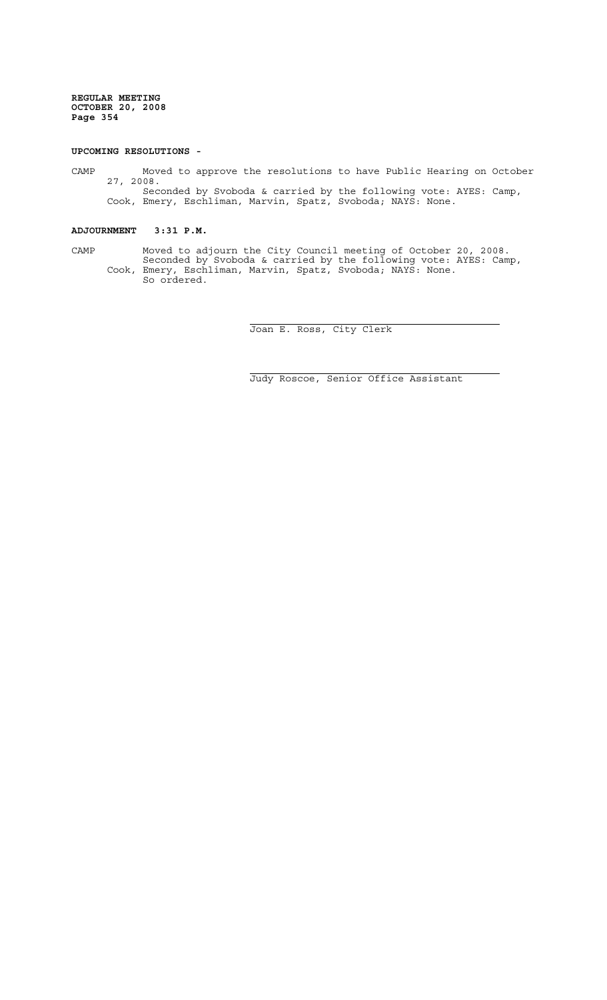## **UPCOMING RESOLUTIONS -**

CAMP Moved to approve the resolutions to have Public Hearing on October 27, 2008. Seconded by Svoboda & carried by the following vote: AYES: Camp,

Cook, Emery, Eschliman, Marvin, Spatz, Svoboda; NAYS: None.

# **ADJOURNMENT 3:31 P.M.**

CAMP Moved to adjourn the City Council meeting of October 20, 2008. Seconded by Svoboda & carried by the following vote: AYES: Camp, Cook, Emery, Eschliman, Marvin, Spatz, Svoboda; NAYS: None. So ordered.

i

i

Joan E. Ross, City Clerk

Judy Roscoe, Senior Office Assistant